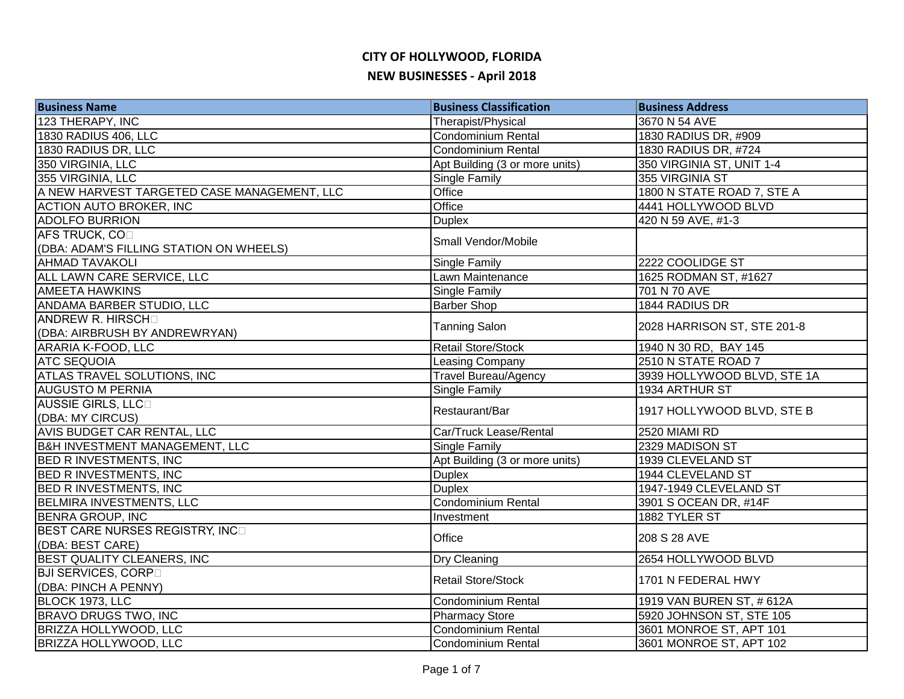| <b>Business Name</b>                        | <b>Business Classification</b> | <b>Business Address</b>     |
|---------------------------------------------|--------------------------------|-----------------------------|
| 123 THERAPY, INC                            | Therapist/Physical             | 3670 N 54 AVE               |
| <b>1830 RADIUS 406, LLC</b>                 | <b>Condominium Rental</b>      | 1830 RADIUS DR, #909        |
| 1830 RADIUS DR, LLC                         | Condominium Rental             | 1830 RADIUS DR, #724        |
| 350 VIRGINIA, LLC                           | Apt Building (3 or more units) | 350 VIRGINIA ST, UNIT 1-4   |
| 355 VIRGINIA, LLC                           | <b>Single Family</b>           | 355 VIRGINIA ST             |
| A NEW HARVEST TARGETED CASE MANAGEMENT, LLC | Office                         | 1800 N STATE ROAD 7, STE A  |
| <b>ACTION AUTO BROKER, INC</b>              | Office                         | 4441 HOLLYWOOD BLVD         |
| <b>ADOLFO BURRION</b>                       | <b>Duplex</b>                  | 420 N 59 AVE, #1-3          |
| AFS TRUCK, COD                              | Small Vendor/Mobile            |                             |
| (DBA: ADAM'S FILLING STATION ON WHEELS)     |                                |                             |
| <b>AHMAD TAVAKOLI</b>                       | <b>Single Family</b>           | 2222 COOLIDGE ST            |
| ALL LAWN CARE SERVICE, LLC                  | Lawn Maintenance               | 1625 RODMAN ST, #1627       |
| <b>AMEETA HAWKINS</b>                       | Single Family                  | 701 N 70 AVE                |
| ANDAMA BARBER STUDIO, LLC                   | <b>Barber Shop</b>             | 1844 RADIUS DR              |
| ANDREW R. HIRSCH                            | <b>Tanning Salon</b>           | 2028 HARRISON ST, STE 201-8 |
| (DBA: AIRBRUSH BY ANDREWRYAN)               |                                |                             |
| <b>ARARIA K-FOOD, LLC</b>                   | Retail Store/Stock             | 1940 N 30 RD, BAY 145       |
| <b>ATC SEQUOIA</b>                          | Leasing Company                | 2510 N STATE ROAD 7         |
| <b>ATLAS TRAVEL SOLUTIONS, INC</b>          | <b>Travel Bureau/Agency</b>    | 3939 HOLLYWOOD BLVD, STE 1A |
| <b>AUGUSTO M PERNIA</b>                     | Single Family                  | 1934 ARTHUR ST              |
| <b>AUSSIE GIRLS, LLCO</b>                   | Restaurant/Bar                 | 1917 HOLLYWOOD BLVD, STE B  |
| (DBA: MY CIRCUS)                            |                                |                             |
| AVIS BUDGET CAR RENTAL, LLC                 | Car/Truck Lease/Rental         | 2520 MIAMI RD               |
| <b>B&amp;H INVESTMENT MANAGEMENT, LLC</b>   | <b>Single Family</b>           | 2329 MADISON ST             |
| <b>BED R INVESTMENTS, INC</b>               | Apt Building (3 or more units) | 1939 CLEVELAND ST           |
| <b>BED R INVESTMENTS, INC</b>               | <b>Duplex</b>                  | 1944 CLEVELAND ST           |
| <b>BED R INVESTMENTS, INC</b>               | <b>Duplex</b>                  | 1947-1949 CLEVELAND ST      |
| <b>BELMIRA INVESTMENTS, LLC</b>             | Condominium Rental             | 3901 S OCEAN DR, #14F       |
| <b>BENRA GROUP, INC</b>                     | Investment                     | 1882 TYLER ST               |
| BEST CARE NURSES REGISTRY, INCO             | Office                         | 208 S 28 AVE                |
| (DBA: BEST CARE)                            |                                |                             |
| BEST QUALITY CLEANERS, INC                  | Dry Cleaning                   | 2654 HOLLYWOOD BLVD         |
| <b>BJI SERVICES, CORPO</b>                  | <b>Retail Store/Stock</b>      | 1701 N FEDERAL HWY          |
| (DBA: PINCH A PENNY)                        |                                |                             |
| BLOCK 1973, LLC                             | Condominium Rental             | 1919 VAN BUREN ST, # 612A   |
| BRAVO DRUGS TWO, INC                        | Pharmacy Store                 | 5920 JOHNSON ST, STE 105    |
| BRIZZA HOLLYWOOD, LLC                       | Condominium Rental             | 3601 MONROE ST, APT 101     |
| <b>BRIZZA HOLLYWOOD, LLC</b>                | Condominium Rental             | 3601 MONROE ST, APT 102     |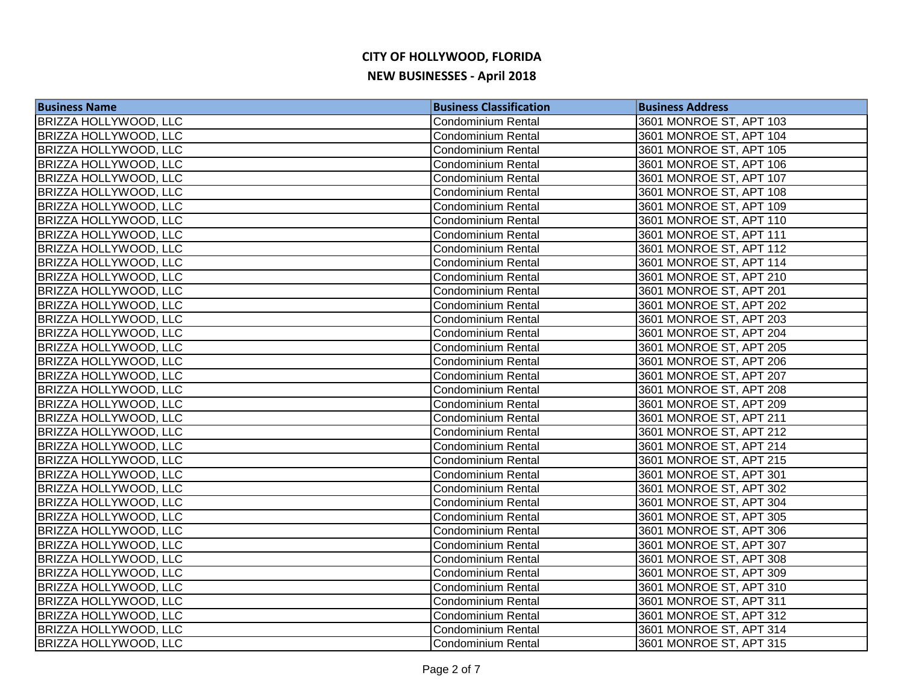| <b>Business Name</b>         | <b>Business Classification</b> | <b>Business Address</b> |
|------------------------------|--------------------------------|-------------------------|
| BRIZZA HOLLYWOOD, LLC        | Condominium Rental             | 3601 MONROE ST, APT 103 |
| <b>BRIZZA HOLLYWOOD, LLC</b> | <b>Condominium Rental</b>      | 3601 MONROE ST, APT 104 |
| BRIZZA HOLLYWOOD, LLC        | <b>Condominium Rental</b>      | 3601 MONROE ST, APT 105 |
| <b>BRIZZA HOLLYWOOD, LLC</b> | Condominium Rental             | 3601 MONROE ST, APT 106 |
| <b>BRIZZA HOLLYWOOD, LLC</b> | Condominium Rental             | 3601 MONROE ST, APT 107 |
| <b>BRIZZA HOLLYWOOD, LLC</b> | Condominium Rental             | 3601 MONROE ST, APT 108 |
| <b>BRIZZA HOLLYWOOD, LLC</b> | <b>Condominium Rental</b>      | 3601 MONROE ST, APT 109 |
| <b>BRIZZA HOLLYWOOD, LLC</b> | <b>Condominium Rental</b>      | 3601 MONROE ST, APT 110 |
| <b>BRIZZA HOLLYWOOD, LLC</b> | <b>Condominium Rental</b>      | 3601 MONROE ST, APT 111 |
| <b>BRIZZA HOLLYWOOD, LLC</b> | Condominium Rental             | 3601 MONROE ST, APT 112 |
| <b>BRIZZA HOLLYWOOD, LLC</b> | Condominium Rental             | 3601 MONROE ST, APT 114 |
| BRIZZA HOLLYWOOD, LLC        | <b>Condominium Rental</b>      | 3601 MONROE ST, APT 210 |
| <b>BRIZZA HOLLYWOOD, LLC</b> | <b>Condominium Rental</b>      | 3601 MONROE ST, APT 201 |
| <b>BRIZZA HOLLYWOOD, LLC</b> | Condominium Rental             | 3601 MONROE ST, APT 202 |
| BRIZZA HOLLYWOOD, LLC        | Condominium Rental             | 3601 MONROE ST, APT 203 |
| BRIZZA HOLLYWOOD, LLC        | Condominium Rental             | 3601 MONROE ST, APT 204 |
| <b>BRIZZA HOLLYWOOD, LLC</b> | <b>Condominium Rental</b>      | 3601 MONROE ST, APT 205 |
| <b>BRIZZA HOLLYWOOD, LLC</b> | <b>Condominium Rental</b>      | 3601 MONROE ST, APT 206 |
| <b>BRIZZA HOLLYWOOD, LLC</b> | Condominium Rental             | 3601 MONROE ST, APT 207 |
| <b>BRIZZA HOLLYWOOD, LLC</b> | Condominium Rental             | 3601 MONROE ST, APT 208 |
| <b>BRIZZA HOLLYWOOD, LLC</b> | <b>Condominium Rental</b>      | 3601 MONROE ST, APT 209 |
| <b>BRIZZA HOLLYWOOD, LLC</b> | <b>Condominium Rental</b>      | 3601 MONROE ST, APT 211 |
| BRIZZA HOLLYWOOD, LLC        | <b>Condominium Rental</b>      | 3601 MONROE ST, APT 212 |
| <b>BRIZZA HOLLYWOOD, LLC</b> | Condominium Rental             | 3601 MONROE ST, APT 214 |
| BRIZZA HOLLYWOOD, LLC        | Condominium Rental             | 3601 MONROE ST, APT 215 |
| <b>BRIZZA HOLLYWOOD, LLC</b> | <b>Condominium Rental</b>      | 3601 MONROE ST, APT 301 |
| <b>BRIZZA HOLLYWOOD, LLC</b> | Condominium Rental             | 3601 MONROE ST, APT 302 |
| <b>BRIZZA HOLLYWOOD, LLC</b> | <b>Condominium Rental</b>      | 3601 MONROE ST, APT 304 |
| <b>BRIZZA HOLLYWOOD, LLC</b> | <b>Condominium Rental</b>      | 3601 MONROE ST, APT 305 |
| <b>BRIZZA HOLLYWOOD, LLC</b> | <b>Condominium Rental</b>      | 3601 MONROE ST, APT 306 |
| <b>BRIZZA HOLLYWOOD, LLC</b> | <b>Condominium Rental</b>      | 3601 MONROE ST, APT 307 |
| <b>BRIZZA HOLLYWOOD, LLC</b> | <b>Condominium Rental</b>      | 3601 MONROE ST, APT 308 |
| <b>BRIZZA HOLLYWOOD, LLC</b> | <b>Condominium Rental</b>      | 3601 MONROE ST, APT 309 |
| <b>BRIZZA HOLLYWOOD, LLC</b> | Condominium Rental             | 3601 MONROE ST, APT 310 |
| BRIZZA HOLLYWOOD, LLC        | Condominium Rental             | 3601 MONROE ST, APT 311 |
| BRIZZA HOLLYWOOD, LLC        | Condominium Rental             | 3601 MONROE ST, APT 312 |
| BRIZZA HOLLYWOOD, LLC        | Condominium Rental             | 3601 MONROE ST, APT 314 |
| <b>BRIZZA HOLLYWOOD, LLC</b> | Condominium Rental             | 3601 MONROE ST, APT 315 |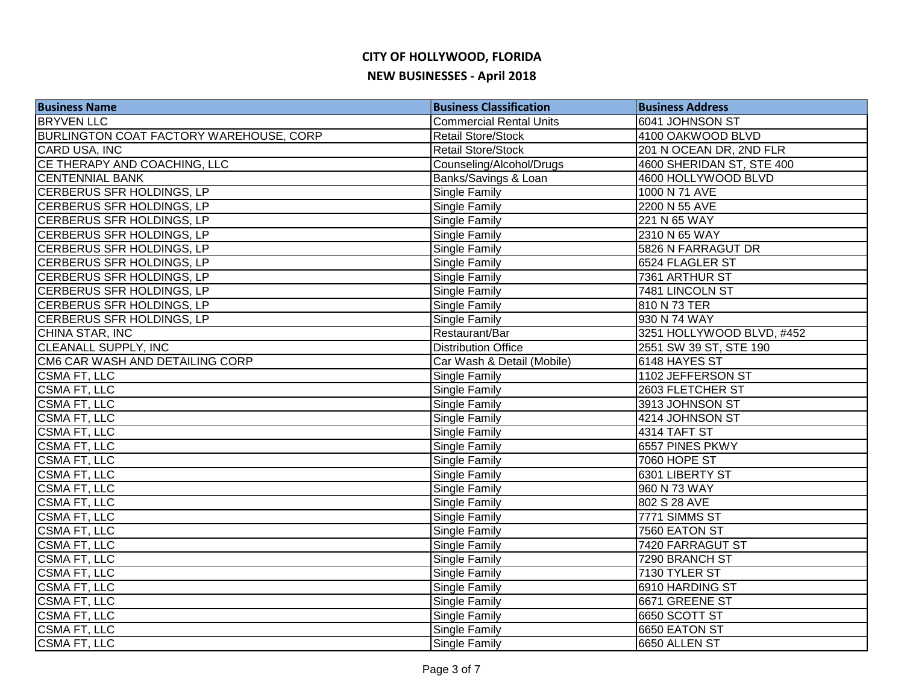| <b>Business Name</b>                           | <b>Business Classification</b> | <b>Business Address</b>   |
|------------------------------------------------|--------------------------------|---------------------------|
| <b>BRYVEN LLC</b>                              | <b>Commercial Rental Units</b> | 6041 JOHNSON ST           |
| <b>BURLINGTON COAT FACTORY WAREHOUSE, CORP</b> | Retail Store/Stock             | 4100 OAKWOOD BLVD         |
| CARD USA, INC                                  | Retail Store/Stock             | 201 N OCEAN DR, 2ND FLR   |
| CE THERAPY AND COACHING, LLC                   | Counseling/Alcohol/Drugs       | 4600 SHERIDAN ST, STE 400 |
| <b>CENTENNIAL BANK</b>                         | Banks/Savings & Loan           | 4600 HOLLYWOOD BLVD       |
| CERBERUS SFR HOLDINGS, LP                      | Single Family                  | 1000 N 71 AVE             |
| CERBERUS SFR HOLDINGS, LP                      | Single Family                  | 2200 N 55 AVE             |
| CERBERUS SFR HOLDINGS, LP                      | Single Family                  | 221 N 65 WAY              |
| CERBERUS SFR HOLDINGS, LP                      | Single Family                  | 2310 N 65 WAY             |
| CERBERUS SFR HOLDINGS, LP                      | Single Family                  | 5826 N FARRAGUT DR        |
| CERBERUS SFR HOLDINGS, LP                      | Single Family                  | 6524 FLAGLER ST           |
| CERBERUS SFR HOLDINGS, LP                      | Single Family                  | 7361 ARTHUR ST            |
| CERBERUS SFR HOLDINGS, LP                      | Single Family                  | 7481 LINCOLN ST           |
| CERBERUS SFR HOLDINGS, LP                      | Single Family                  | 810 N 73 TER              |
| CERBERUS SFR HOLDINGS, LP                      | Single Family                  | 930 N 74 WAY              |
| CHINA STAR, INC                                | Restaurant/Bar                 | 3251 HOLLYWOOD BLVD, #452 |
| <b>CLEANALL SUPPLY, INC</b>                    | <b>Distribution Office</b>     | 2551 SW 39 ST, STE 190    |
| CM6 CAR WASH AND DETAILING CORP                | Car Wash & Detail (Mobile)     | 6148 HAYES ST             |
| <b>CSMA FT, LLC</b>                            | Single Family                  | 1102 JEFFERSON ST         |
| <b>CSMA FT, LLC</b>                            | Single Family                  | 2603 FLETCHER ST          |
| <b>CSMA FT, LLC</b>                            | Single Family                  | 3913 JOHNSON ST           |
| <b>CSMA FT, LLC</b>                            | Single Family                  | 4214 JOHNSON ST           |
| <b>CSMA FT, LLC</b>                            | Single Family                  | 4314 TAFT ST              |
| <b>CSMA FT, LLC</b>                            | Single Family                  | 6557 PINES PKWY           |
| CSMA FT, LLC                                   | Single Family                  | <b>7060 HOPE ST</b>       |
| <b>CSMA FT, LLC</b>                            | Single Family                  | 6301 LIBERTY ST           |
| CSMA FT, LLC                                   | Single Family                  | 960 N 73 WAY              |
| <b>CSMA FT, LLC</b>                            | Single Family                  | 802 S 28 AVE              |
| <b>CSMA FT, LLC</b>                            | Single Family                  | 7771 SIMMS ST             |
| CSMA FT, LLC                                   | Single Family                  | 7560 EATON ST             |
| <b>CSMA FT, LLC</b>                            | Single Family                  | 7420 FARRAGUT ST          |
| <b>CSMA FT, LLC</b>                            | Single Family                  | 7290 BRANCH ST            |
| <b>CSMA FT, LLC</b>                            | Single Family                  | 7130 TYLER ST             |
| <b>CSMA FT, LLC</b>                            | Single Family                  | 6910 HARDING ST           |
| <b>CSMA FT, LLC</b>                            | Single Family                  | 6671 GREENE ST            |
| CSMA FT, LLC                                   | Single Family                  | 6650 SCOTT ST             |
| CSMA FT, LLC                                   | Single Family                  | 6650 EATON ST             |
| <b>CSMA FT, LLC</b>                            | Single Family                  | 6650 ALLEN ST             |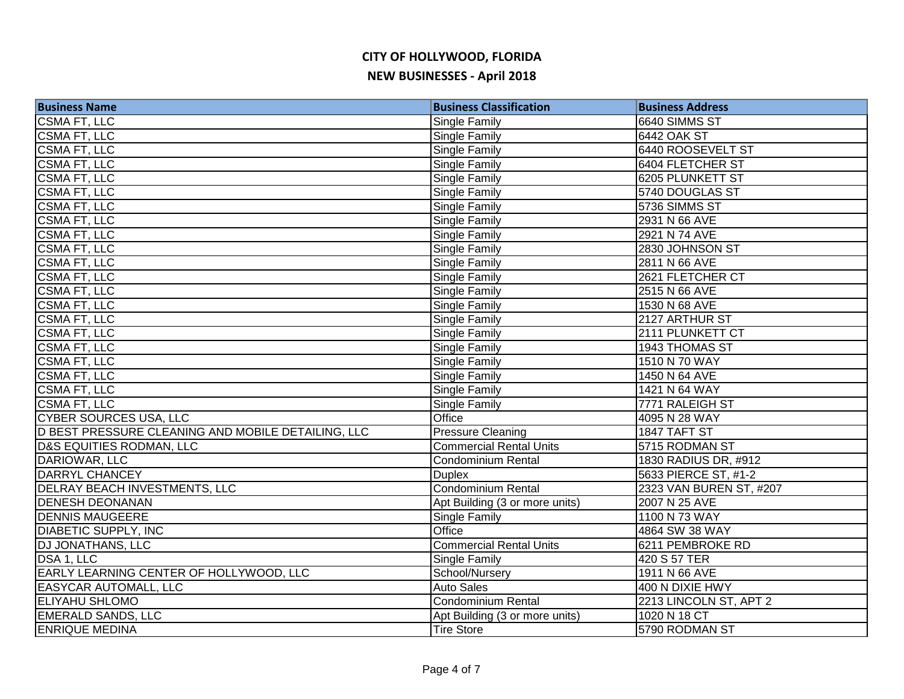| <b>Business Name</b>                               | <b>Business Classification</b> | <b>Business Address</b> |
|----------------------------------------------------|--------------------------------|-------------------------|
| <b>CSMA FT, LLC</b>                                | Single Family                  | 6640 SIMMS ST           |
| <b>CSMA FT, LLC</b>                                | <b>Single Family</b>           | <b>6442 OAK ST</b>      |
| <b>CSMA FT, LLC</b>                                | Single Family                  | 6440 ROOSEVELT ST       |
| <b>CSMA FT, LLC</b>                                | Single Family                  | <b>6404 FLETCHER ST</b> |
| <b>CSMA FT, LLC</b>                                | <b>Single Family</b>           | 6205 PLUNKETT ST        |
| <b>CSMA FT, LLC</b>                                | <b>Single Family</b>           | 5740 DOUGLAS ST         |
| <b>CSMA FT, LLC</b>                                | Single Family                  | 5736 SIMMS ST           |
| <b>CSMA FT, LLC</b>                                | Single Family                  | 2931 N 66 AVE           |
| CSMA FT, LLC                                       | Single Family                  | 2921 N 74 AVE           |
| CSMA FT, LLC                                       | Single Family                  | 2830 JOHNSON ST         |
| CSMA FT, LLC                                       | Single Family                  | 2811 N 66 AVE           |
| CSMA FT, LLC                                       | Single Family                  | 2621 FLETCHER CT        |
| CSMA FT, LLC                                       | <b>Single Family</b>           | 2515 N 66 AVE           |
| CSMA FT, LLC                                       | <b>Single Family</b>           | 1530 N 68 AVE           |
| CSMA FT, LLC                                       | <b>Single Family</b>           | 2127 ARTHUR ST          |
| CSMA FT, LLC                                       | Single Family                  | 2111 PLUNKETT CT        |
| <b>CSMA FT, LLC</b>                                | Single Family                  | 1943 THOMAS ST          |
| CSMA FT, LLC                                       | <b>Single Family</b>           | 1510 N 70 WAY           |
| <b>CSMA FT, LLC</b>                                | Single Family                  | 1450 N 64 AVE           |
| <b>CSMA FT, LLC</b>                                | <b>Single Family</b>           | 1421 N 64 WAY           |
| <b>CSMA FT, LLC</b>                                | Single Family                  | 7771 RALEIGH ST         |
| <b>CYBER SOURCES USA, LLC</b>                      | Office                         | 4095 N 28 WAY           |
| D BEST PRESSURE CLEANING AND MOBILE DETAILING, LLC | <b>Pressure Cleaning</b>       | 1847 TAFT ST            |
| <b>D&amp;S EQUITIES RODMAN, LLC</b>                | <b>Commercial Rental Units</b> | 5715 RODMAN ST          |
| DARIOWAR, LLC                                      | <b>Condominium Rental</b>      | 1830 RADIUS DR, #912    |
| <b>DARRYL CHANCEY</b>                              | <b>Duplex</b>                  | 5633 PIERCE ST, #1-2    |
| <b>DELRAY BEACH INVESTMENTS, LLC</b>               | <b>Condominium Rental</b>      | 2323 VAN BUREN ST, #207 |
| <b>DENESH DEONANAN</b>                             | Apt Building (3 or more units) | 2007 N 25 AVE           |
| <b>DENNIS MAUGEERE</b>                             | Single Family                  | 1100 N 73 WAY           |
| <b>DIABETIC SUPPLY, INC</b>                        | Office                         | 4864 SW 38 WAY          |
| <b>DJ JONATHANS, LLC</b>                           | <b>Commercial Rental Units</b> | 6211 PEMBROKE RD        |
| DSA 1, LLC                                         | <b>Single Family</b>           | 420 S 57 TER            |
| EARLY LEARNING CENTER OF HOLLYWOOD, LLC            | School/Nursery                 | 1911 N 66 AVE           |
| <b>EASYCAR AUTOMALL, LLC</b>                       | <b>Auto Sales</b>              | 400 N DIXIE HWY         |
| <b>ELIYAHU SHLOMO</b>                              | Condominium Rental             | 2213 LINCOLN ST, APT 2  |
| <b>EMERALD SANDS, LLC</b>                          | Apt Building (3 or more units) | 1020 N 18 CT            |
| <b>ENRIQUE MEDINA</b>                              | <b>Tire Store</b>              | 5790 RODMAN ST          |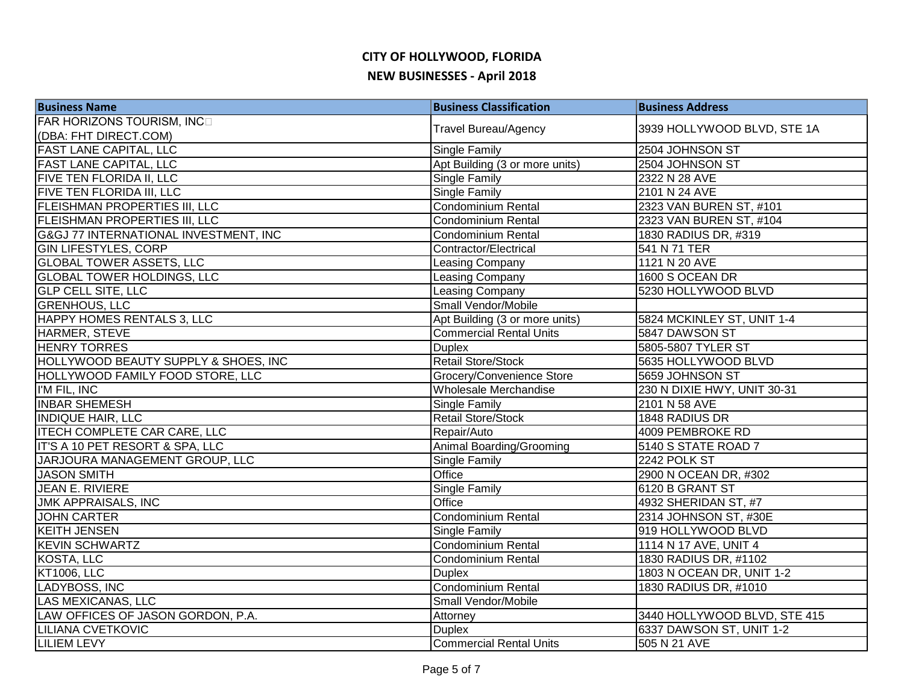| <b>Business Name</b>                             | <b>Business Classification</b> | <b>Business Address</b>      |
|--------------------------------------------------|--------------------------------|------------------------------|
| FAR HORIZONS TOURISM, INCO                       | <b>Travel Bureau/Agency</b>    | 3939 HOLLYWOOD BLVD, STE 1A  |
| (DBA: FHT DIRECT.COM)                            |                                |                              |
| <b>FAST LANE CAPITAL, LLC</b>                    | Single Family                  | 2504 JOHNSON ST              |
| <b>FAST LANE CAPITAL, LLC</b>                    | Apt Building (3 or more units) | 2504 JOHNSON ST              |
| <b>FIVE TEN FLORIDA II, LLC</b>                  | <b>Single Family</b>           | 2322 N 28 AVE                |
| FIVE TEN FLORIDA III, LLC                        | Single Family                  | 2101 N 24 AVE                |
| <b>FLEISHMAN PROPERTIES III, LLC</b>             | Condominium Rental             | 2323 VAN BUREN ST, #101      |
| <b>FLEISHMAN PROPERTIES III, LLC</b>             | Condominium Rental             | 2323 VAN BUREN ST, #104      |
| <b>G&amp;GJ 77 INTERNATIONAL INVESTMENT, INC</b> | <b>Condominium Rental</b>      | 1830 RADIUS DR, #319         |
| <b>GIN LIFESTYLES, CORP</b>                      | Contractor/Electrical          | 541 N 71 TER                 |
| <b>GLOBAL TOWER ASSETS, LLC</b>                  | Leasing Company                | 1121 N 20 AVE                |
| <b>GLOBAL TOWER HOLDINGS, LLC</b>                | Leasing Company                | 1600 S OCEAN DR              |
| <b>GLP CELL SITE, LLC</b>                        | Leasing Company                | 5230 HOLLYWOOD BLVD          |
| <b>GRENHOUS, LLC</b>                             | Small Vendor/Mobile            |                              |
| <b>HAPPY HOMES RENTALS 3, LLC</b>                | Apt Building (3 or more units) | 5824 MCKINLEY ST, UNIT 1-4   |
| HARMER, STEVE                                    | <b>Commercial Rental Units</b> | 5847 DAWSON ST               |
| <b>HENRY TORRES</b>                              | <b>Duplex</b>                  | 5805-5807 TYLER ST           |
| HOLLYWOOD BEAUTY SUPPLY & SHOES, INC             | <b>Retail Store/Stock</b>      | 5635 HOLLYWOOD BLVD          |
| HOLLYWOOD FAMILY FOOD STORE, LLC                 | Grocery/Convenience Store      | 5659 JOHNSON ST              |
| I'M FIL, INC                                     | Wholesale Merchandise          | 230 N DIXIE HWY, UNIT 30-31  |
| <b>INBAR SHEMESH</b>                             | Single Family                  | 2101 N 58 AVE                |
| <b>INDIQUE HAIR, LLC</b>                         | <b>Retail Store/Stock</b>      | 1848 RADIUS DR               |
| <b>ITECH COMPLETE CAR CARE, LLC</b>              | Repair/Auto                    | 4009 PEMBROKE RD             |
| IT'S A 10 PET RESORT & SPA, LLC                  | Animal Boarding/Grooming       | 5140 S STATE ROAD 7          |
| JARJOURA MANAGEMENT GROUP, LLC                   | Single Family                  | 2242 POLK ST                 |
| <b>JASON SMITH</b>                               | Office                         | 2900 N OCEAN DR, #302        |
| JEAN E. RIVIERE                                  | Single Family                  | 6120 B GRANT ST              |
| <b>JMK APPRAISALS, INC</b>                       | Office                         | 4932 SHERIDAN ST, #7         |
| <b>JOHN CARTER</b>                               | Condominium Rental             | 2314 JOHNSON ST, #30E        |
| <b>KEITH JENSEN</b>                              | Single Family                  | 919 HOLLYWOOD BLVD           |
| <b>KEVIN SCHWARTZ</b>                            | <b>Condominium Rental</b>      | 1114 N 17 AVE, UNIT 4        |
| KOSTA, LLC                                       | <b>Condominium Rental</b>      | 1830 RADIUS DR, #1102        |
| <b>KT1006, LLC</b>                               | <b>Duplex</b>                  | 1803 N OCEAN DR, UNIT 1-2    |
| LADYBOSS, INC                                    | <b>Condominium Rental</b>      | 1830 RADIUS DR, #1010        |
| LAS MEXICANAS, LLC                               | Small Vendor/Mobile            |                              |
| LAW OFFICES OF JASON GORDON, P.A.                | Attorney                       | 3440 HOLLYWOOD BLVD, STE 415 |
| <b>LILIANA CVETKOVIC</b>                         | <b>Duplex</b>                  | 6337 DAWSON ST, UNIT 1-2     |
| <b>LILIEM LEVY</b>                               | <b>Commercial Rental Units</b> | 505 N 21 AVE                 |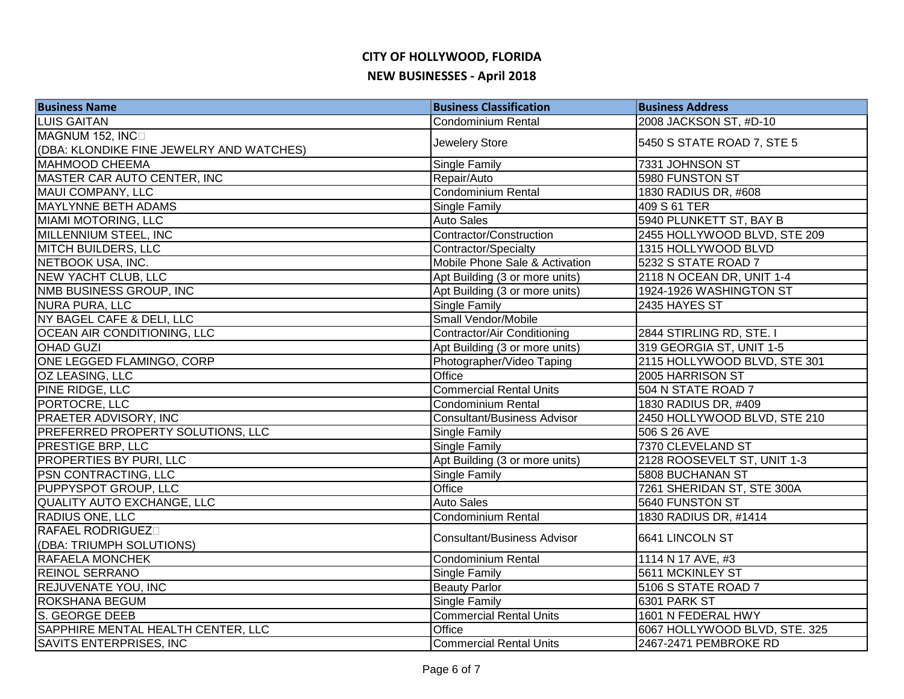| <b>Business Name</b>                     | <b>Business Classification</b>     | <b>Business Address</b>       |
|------------------------------------------|------------------------------------|-------------------------------|
| <b>LUIS GAITAN</b>                       | <b>Condominium Rental</b>          | 2008 JACKSON ST, #D-10        |
| MAGNUM 152, INCO                         | Jewelery Store                     | 5450 S STATE ROAD 7, STE 5    |
| (DBA: KLONDIKE FINE JEWELRY AND WATCHES) |                                    |                               |
| <b>MAHMOOD CHEEMA</b>                    | Single Family                      | 7331 JOHNSON ST               |
| MASTER CAR AUTO CENTER, INC              | Repair/Auto                        | 5980 FUNSTON ST               |
| MAUI COMPANY, LLC                        | Condominium Rental                 | 1830 RADIUS DR, #608          |
| <b>MAYLYNNE BETH ADAMS</b>               | <b>Single Family</b>               | 409 S 61 TER                  |
| MIAMI MOTORING, LLC                      | <b>Auto Sales</b>                  | 5940 PLUNKETT ST, BAY B       |
| MILLENNIUM STEEL, INC                    | Contractor/Construction            | 2455 HOLLYWOOD BLVD, STE 209  |
| MITCH BUILDERS, LLC                      | Contractor/Specialty               | 1315 HOLLYWOOD BLVD           |
| NETBOOK USA, INC.                        | Mobile Phone Sale & Activation     | 5232 S STATE ROAD 7           |
| NEW YACHT CLUB, LLC                      | Apt Building (3 or more units)     | 2118 N OCEAN DR, UNIT 1-4     |
| NMB BUSINESS GROUP, INC                  | Apt Building (3 or more units)     | 1924-1926 WASHINGTON ST       |
| NURA PURA, LLC                           | Single Family                      | 2435 HAYES ST                 |
| NY BAGEL CAFE & DELI, LLC                | Small Vendor/Mobile                |                               |
| OCEAN AIR CONDITIONING, LLC              | Contractor/Air Conditioning        | 2844 STIRLING RD, STE. I      |
| <b>OHAD GUZI</b>                         | Apt Building (3 or more units)     | 319 GEORGIA ST, UNIT 1-5      |
| ONE LEGGED FLAMINGO, CORP                | Photographer/Video Taping          | 2115 HOLLYWOOD BLVD, STE 301  |
| OZ LEASING, LLC                          | Office                             | 2005 HARRISON ST              |
| PINE RIDGE, LLC                          | <b>Commercial Rental Units</b>     | 504 N STATE ROAD 7            |
| PORTOCRE, LLC                            | <b>Condominium Rental</b>          | 1830 RADIUS DR, #409          |
| <b>PRAETER ADVISORY, INC</b>             | <b>Consultant/Business Advisor</b> | 2450 HOLLYWOOD BLVD, STE 210  |
| <b>PREFERRED PROPERTY SOLUTIONS, LLC</b> | Single Family                      | 506 S 26 AVE                  |
| <b>PRESTIGE BRP, LLC</b>                 | <b>Single Family</b>               | 7370 CLEVELAND ST             |
| <b>PROPERTIES BY PURI, LLC</b>           | Apt Building (3 or more units)     | 2128 ROOSEVELT ST, UNIT 1-3   |
| <b>PSN CONTRACTING, LLC</b>              | Single Family                      | 5808 BUCHANAN ST              |
| <b>PUPPYSPOT GROUP, LLC</b>              | Office                             | 7261 SHERIDAN ST, STE 300A    |
| QUALITY AUTO EXCHANGE, LLC               | <b>Auto Sales</b>                  | 5640 FUNSTON ST               |
| <b>RADIUS ONE, LLC</b>                   | <b>Condominium Rental</b>          | 1830 RADIUS DR, #1414         |
| <b>RAFAEL RODRIGUEZ</b>                  | <b>Consultant/Business Advisor</b> | 6641 LINCOLN ST               |
| (DBA: TRIUMPH SOLUTIONS)                 |                                    |                               |
| <b>RAFAELA MONCHEK</b>                   | Condominium Rental                 | 1114 N 17 AVE, #3             |
| <b>REINOL SERRANO</b>                    | Single Family                      | 5611 MCKINLEY ST              |
| <b>REJUVENATE YOU, INC</b>               | <b>Beauty Parlor</b>               | 5106 S STATE ROAD 7           |
| <b>ROKSHANA BEGUM</b>                    | <b>Single Family</b>               | 6301 PARK ST                  |
| S. GEORGE DEEB                           | <b>Commercial Rental Units</b>     | 1601 N FEDERAL HWY            |
| SAPPHIRE MENTAL HEALTH CENTER, LLC       | Office                             | 6067 HOLLYWOOD BLVD, STE. 325 |
| SAVITS ENTERPRISES, INC                  | <b>Commercial Rental Units</b>     | 2467-2471 PEMBROKE RD         |